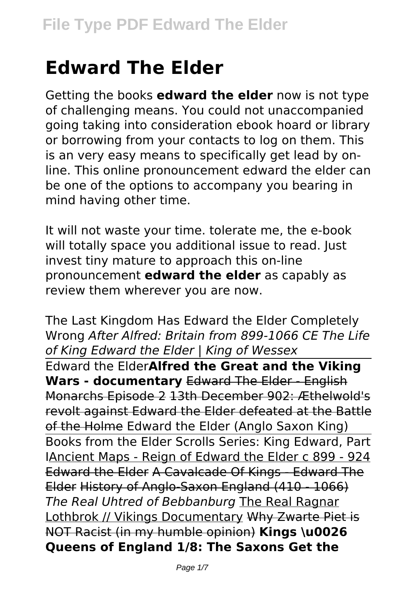# **Edward The Elder**

Getting the books **edward the elder** now is not type of challenging means. You could not unaccompanied going taking into consideration ebook hoard or library or borrowing from your contacts to log on them. This is an very easy means to specifically get lead by online. This online pronouncement edward the elder can be one of the options to accompany you bearing in mind having other time.

It will not waste your time. tolerate me, the e-book will totally space you additional issue to read. Just invest tiny mature to approach this on-line pronouncement **edward the elder** as capably as review them wherever you are now.

The Last Kingdom Has Edward the Elder Completely Wrong *After Alfred: Britain from 899-1066 CE The Life of King Edward the Elder | King of Wessex* Edward the Elder**Alfred the Great and the Viking Wars - documentary** Edward The Elder - English Monarchs Episode 2 13th December 902: Æthelwold's revolt against Edward the Elder defeated at the Battle of the Holme Edward the Elder (Anglo Saxon King) Books from the Elder Scrolls Series: King Edward, Part IAncient Maps - Reign of Edward the Elder c 899 - 924 Edward the Elder A Cavalcade Of Kings - Edward The Elder History of Anglo-Saxon England (410 - 1066) *The Real Uhtred of Bebbanburg* The Real Ragnar Lothbrok // Vikings Documentary Why Zwarte Piet is NOT Racist (in my humble opinion) **Kings \u0026 Queens of England 1/8: The Saxons Get the**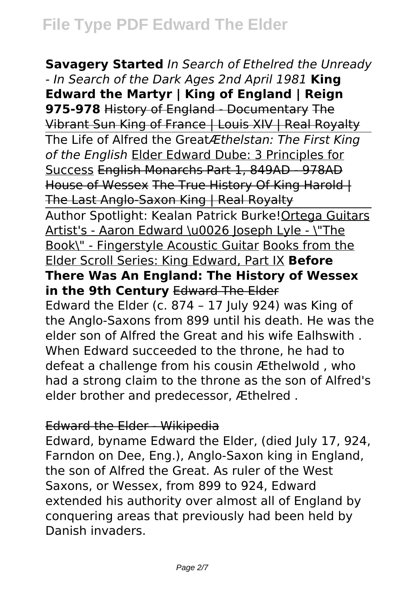**Savagery Started** *In Search of Ethelred the Unready - In Search of the Dark Ages 2nd April 1981* **King Edward the Martyr | King of England | Reign 975-978** History of England - Documentary The Vibrant Sun King of France | Louis XIV | Real Royalty The Life of Alfred the Great*Æthelstan: The First King of the English* Elder Edward Dube: 3 Principles for Success English Monarchs Part 1, 849AD - 978AD House of Wessex The True History Of King Harold | The Last Anglo-Saxon King | Real Royalty Author Spotlight: Kealan Patrick Burke!Ortega Guitars Artist's - Aaron Edward \u0026 Joseph Lyle - \"The Book\" - Fingerstyle Acoustic Guitar Books from the Elder Scroll Series: King Edward, Part IX **Before There Was An England: The History of Wessex in the 9th Century** Edward The Elder Edward the Elder (c. 874 – 17 July 924) was King of the Anglo-Saxons from 899 until his death. He was the elder son of Alfred the Great and his wife Ealhswith . When Edward succeeded to the throne, he had to defeat a challenge from his cousin Æthelwold , who had a strong claim to the throne as the son of Alfred's elder brother and predecessor, Æthelred .

#### Edward the Elder - Wikipedia

Edward, byname Edward the Elder, (died July 17, 924, Farndon on Dee, Eng.), Anglo-Saxon king in England, the son of Alfred the Great. As ruler of the West Saxons, or Wessex, from 899 to 924, Edward extended his authority over almost all of England by conquering areas that previously had been held by Danish invaders.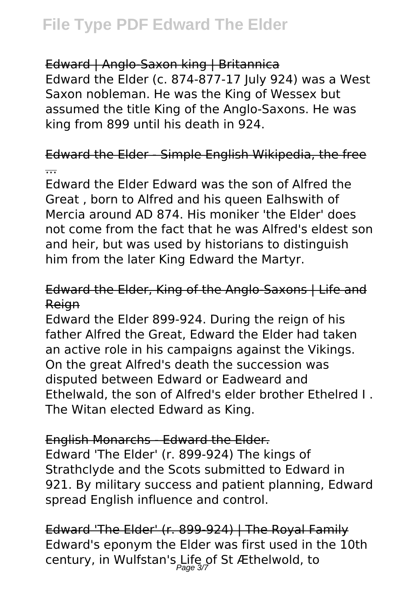### Edward | Anglo-Saxon king | Britannica

Edward the Elder (c. 874-877-17 July 924) was a West Saxon nobleman. He was the King of Wessex but assumed the title King of the Anglo-Saxons. He was king from 899 until his death in 924.

### Edward the Elder - Simple English Wikipedia, the free ...

Edward the Elder Edward was the son of Alfred the Great , born to Alfred and his queen Ealhswith of Mercia around AD 874. His moniker 'the Elder' does not come from the fact that he was Alfred's eldest son and heir, but was used by historians to distinguish him from the later King Edward the Martyr.

### Edward the Elder, King of the Anglo-Saxons | Life and Reign

Edward the Elder 899-924. During the reign of his father Alfred the Great, Edward the Elder had taken an active role in his campaigns against the Vikings. On the great Alfred's death the succession was disputed between Edward or Eadweard and Ethelwald, the son of Alfred's elder brother Ethelred I . The Witan elected Edward as King.

### English Monarchs - Edward the Elder.

Edward 'The Elder' (r. 899-924) The kings of Strathclyde and the Scots submitted to Edward in 921. By military success and patient planning, Edward spread English influence and control.

Edward 'The Elder' (r. 899-924) | The Royal Family Edward's eponym the Elder was first used in the 10th century, in Wulfstan's Life of St Æthelwold, to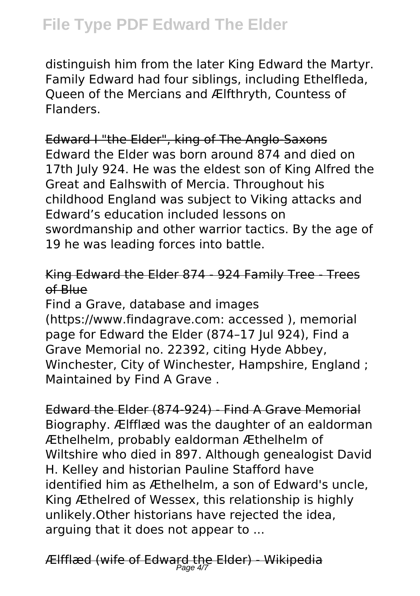### **File Type PDF Edward The Elder**

distinguish him from the later King Edward the Martyr. Family Edward had four siblings, including Ethelfleda, Queen of the Mercians and Ælfthryth, Countess of Flanders.

Edward I "the Elder", king of The Anglo-Saxons Edward the Elder was born around 874 and died on 17th July 924. He was the eldest son of King Alfred the Great and Ealhswith of Mercia. Throughout his childhood England was subject to Viking attacks and Edward's education included lessons on swordmanship and other warrior tactics. By the age of 19 he was leading forces into battle.

### King Edward the Elder 874 - 924 Family Tree - Trees of Blue

Find a Grave, database and images (https://www.findagrave.com: accessed ), memorial page for Edward the Elder (874–17 Jul 924), Find a Grave Memorial no. 22392, citing Hyde Abbey, Winchester, City of Winchester, Hampshire, England ; Maintained by Find A Grave .

Edward the Elder (874-924) - Find A Grave Memorial Biography. Ælfflæd was the daughter of an ealdorman Æthelhelm, probably ealdorman Æthelhelm of Wiltshire who died in 897. Although genealogist David H. Kelley and historian Pauline Stafford have identified him as Æthelhelm, a son of Edward's uncle, King Æthelred of Wessex, this relationship is highly unlikely.Other historians have rejected the idea, arguing that it does not appear to ...

Ælfflæd (wife of Edward the Elder) - Wikipedia Page 4/7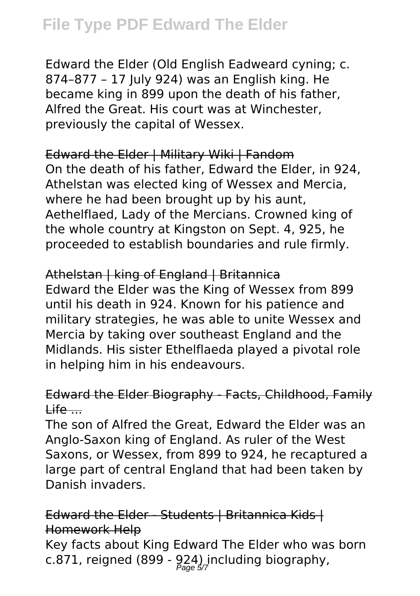### **File Type PDF Edward The Elder**

Edward the Elder (Old English Eadweard cyning; c. 874–877 – 17 July 924) was an English king. He became king in 899 upon the death of his father, Alfred the Great. His court was at Winchester, previously the capital of Wessex.

Edward the Elder | Military Wiki | Fandom On the death of his father, Edward the Elder, in 924, Athelstan was elected king of Wessex and Mercia, where he had been brought up by his aunt, Aethelflaed, Lady of the Mercians. Crowned king of the whole country at Kingston on Sept. 4, 925, he proceeded to establish boundaries and rule firmly.

### Athelstan | king of England | Britannica

Edward the Elder was the King of Wessex from 899 until his death in 924. Known for his patience and military strategies, he was able to unite Wessex and Mercia by taking over southeast England and the Midlands. His sister Ethelflaeda played a pivotal role in helping him in his endeavours.

### Edward the Elder Biography - Facts, Childhood, Family  $Lif$ e  $-$

The son of Alfred the Great, Edward the Elder was an Anglo-Saxon king of England. As ruler of the West Saxons, or Wessex, from 899 to 924, he recaptured a large part of central England that had been taken by Danish invaders.

### Edward the Elder - Students | Britannica Kids | Homework Help

Key facts about King Edward The Elder who was born c.871, reigned (899 - 924) including biography,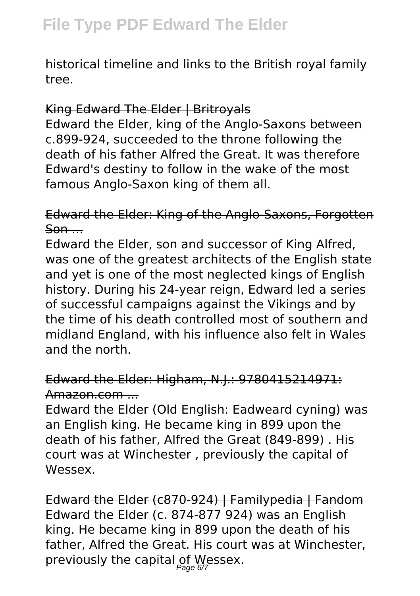historical timeline and links to the British royal family tree.

### King Edward The Elder | Britroyals

Edward the Elder, king of the Anglo-Saxons between c.899-924, succeeded to the throne following the death of his father Alfred the Great. It was therefore Edward's destiny to follow in the wake of the most famous Anglo-Saxon king of them all.

### Edward the Elder: King of the Anglo-Saxons, Forgotten  $S<sub>on</sub>$ ...

Edward the Elder, son and successor of King Alfred, was one of the greatest architects of the English state and yet is one of the most neglected kings of English history. During his 24-year reign, Edward led a series of successful campaigns against the Vikings and by the time of his death controlled most of southern and midland England, with his influence also felt in Wales and the north.

### Edward the Elder: Higham, N.J.: 9780415214971: Amazon.com ...

Edward the Elder (Old English: Eadweard cyning) was an English king. He became king in 899 upon the death of his father, Alfred the Great (849-899) . His court was at Winchester , previously the capital of Wessex.

Edward the Elder (c870-924) | Familypedia | Fandom Edward the Elder (c. 874-877 924) was an English king. He became king in 899 upon the death of his father, Alfred the Great. His court was at Winchester, previously the capital of Wessex.